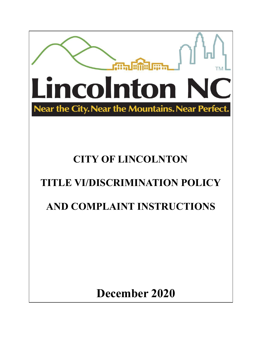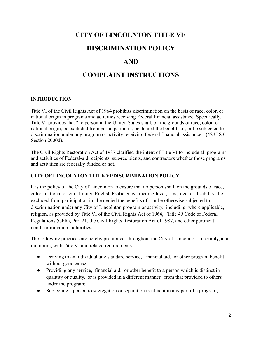# **CITY OF LINCOLNTON TITLE VI/**

# **DISCRIMINATION POLICY**

# **AND**

# **COMPLAINT INSTRUCTIONS**

## **INTRODUCTION**

Title VI of the Civil Rights Act of 1964 prohibits discrimination on the basis of race, color, or national origin in programs and activities receiving Federal financial assistance. Specifically, Title VI provides that "no person in the United States shall, on the grounds of race, color, or national origin, be excluded from participation in, be denied the benefits of, or be subjected to discrimination under any program or activity receiving Federal financial assistance." (42 U.S.C. Section 2000d).

The Civil Rights Restoration Act of 1987 clarified the intent of Title VI to include all programs and activities of Federal-aid recipients, sub-recipients, and contractors whether those programs and activities are federally funded or not.

## **CITY OF LINCOLNTON TITLE VI/DISCRIMINATION POLICY**

It is the policy of the City of Lincolnton to ensure that no person shall, on the grounds of race, color, national origin, limited English Proficiency, income-level, sex, age, or disability, be excluded from participation in, be denied the benefits of, or be otherwise subjected to discrimination under any City of Lincolnton program or activity, including, where applicable, religion, as provided by Title VI of the Civil Rights Act of 1964, Title 49 Code of Federal Regulations (CFR), Part 21, the Civil Rights Restoration Act of 1987, and other pertinent nondiscrimination authorities.

The following practices are hereby prohibited throughout the City of Lincolnton to comply, at a minimum, with Title VI and related requirements:

- Denying to an individual any standard service, financial aid, or other program benefit without good cause;
- Providing any service, financial aid, or other benefit to a person which is distinct in quantity or quality, or is provided in a different manner, from that provided to others under the program;
- Subjecting a person to segregation or separation treatment in any part of a program;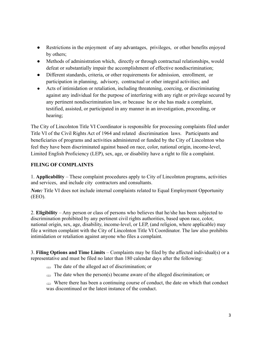- Restrictions in the enjoyment of any advantages, privileges, or other benefits enjoyed by others;
- Methods of administration which, directly or through contractual relationships, would defeat or substantially impair the accomplishment of effective nondiscrimination;
- Different standards, criteria, or other requirements for admission, enrollment, or participation in planning, advisory, contractual or other integral activities; and
- Acts of intimidation or retaliation, including threatening, coercing, or discriminating against any individual for the purpose of interfering with any right or privilege secured by any pertinent nondiscrimination law, or because he or she has made a complaint, testified, assisted, or participated in any manner in an investigation, proceeding, or hearing;

The City of Lincolnton Title VI Coordinator is responsible for processing complaints filed under Title VI of the Civil Rights Act of 1964 and related discrimination laws. Participants and beneficiaries of programs and activities administered or funded by the City of Lincolnton who feel they have been discriminated against based on race, color, national origin, income-level, Limited English Proficiency (LEP), sex, age, or disability have a right to file a complaint.

## **FILING OF COMPLAINTS**

1. **Applicability** – These complaint procedures apply to City of Lincolnton programs, activities and services, and include city contractors and consultants.

*Note:* Title VI does not include internal complaints related to Equal Employment Opportunity (EEO).

2. **Eligibility** – Any person or class of persons who believes that he/she has been subjected to discrimination prohibited by any pertinent civil rights authorities, based upon race, color, national origin, sex, age, disability, income-level, or LEP, (and religion, where applicable) may file a written complaint with the City of Lincolnton Title VI Coordinator. The law also prohibits intimidation or retaliation against anyone who files a complaint.

3. **Filing Options and Time Limits** – Complaints may be filed by the affected individual(s) or a representative and must be filed no later than 180 calendar days after the following:

- The date of the alleged act of discrimination; or
- $\triangleq$  The date when the person(s) became aware of the alleged discrimination; or

 $\Rightarrow$  Where there has been a continuing course of conduct, the date on which that conduct was discontinued or the latest instance of the conduct.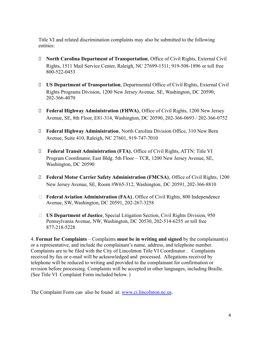Title VI and related discrimination complaints may also be submitted to the following entities:

- □ **North Carolina Department of Transportation**, Office of Civil Rights, External Civil Rights, 1511 Mail Service Center, Raleigh, NC 27699-1511; 919-508-1896 or toll free 800-522-0453
- ⮚ **US Department of Transportation**, Departmental Office of Civil Rights, External Civil Rights Programs Division, 1200 New Jersey Avenue, SE, Washington, DC 20590; 202-366-4070
- ⮚ **Federal Highway Administration (FHWA)**, Office of Civil Rights, 1200 New Jersey Avenue, SE, 8th Floor, E81-314, Washington, DC 20590, 202-366-0693 / 202-366-0752
- ⮚ **Federal Highway Administration**, North Carolina Division Office, 310 New Bern Avenue, Suite 410, Raleigh, NC 27601, 919-747-7010
- ⮚ **Federal Transit Administration (FTA)**, Office of Civil Rights, ATTN: Title VI Program Coordinator, East Bldg. 5th Floor – TCR, 1200 New Jersey Avenue, SE, Washington, DC 20590
- ⮚ **Federal Motor Carrier Safety Administration (FMCSA)**, Office of Civil Rights, 1200 New Jersey Avenue, SE, Room #W65-312, Washington, DC 20591, 202-366-8810
- □ **Federal Aviation Administration (FAA)**, Office of Civil Rights, 800 Independence Avenue, SW, Washington, DC 20591, 202-267-3258
- ⮚ **US Department of Justice**, Special Litigation Section, Civil Rights Division, 950 Pennsylvania Avenue, NW, Washington, DC 20530, 202-514-6255 or toll free 877-218-5228

4. **Format for Complaints** – Complaints **must be in writing and signed** by the complainant(s) or a representative, and include the complainant's name, address, and telephone number. Complaints are to be filed with the City of Lincolnton Title VI Coordinator . Complaints received by fax or e-mail will be acknowledged and processed. Allegations received by telephone will be reduced to writing and provided to the complainant for confirmation or revision before processing. Complaints will be accepted in other languages, including Braille. (See Title VI Complaint Form included below. )

The Complaint Form can also be found at: [www.ci.lincolnton.nc.us](http://www.ci.lincolnton.nc.us).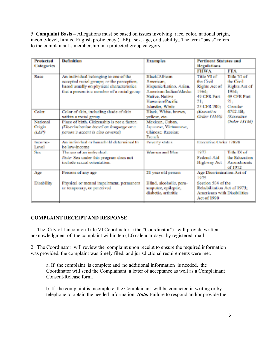5. **Complaint Basis –** Allegations must be based on issues involving race, color, national origin, income-level, limited English proficiency (LEP), sex, age, or disability,. The term "basis" refers to the complainant's membership in a protected group category.

| <b>Protected</b><br><b>Categories</b> | Definition                                                                                                                                                                      | <b>Examples</b>                                                                                                                                  | <b>Pertinent Statutes and</b><br>Regulations                                                    |                                                                                      |
|---------------------------------------|---------------------------------------------------------------------------------------------------------------------------------------------------------------------------------|--------------------------------------------------------------------------------------------------------------------------------------------------|-------------------------------------------------------------------------------------------------|--------------------------------------------------------------------------------------|
|                                       |                                                                                                                                                                                 |                                                                                                                                                  | <b>FHMA</b>                                                                                     | FTA                                                                                  |
| Race                                  | An individual belonging to one of the<br>accepted racial groups; or the perception,<br>based usually on physical characteristics<br>that a person is a member of a racial group | Black/African<br>A memorian<br>Hispanic/Latino, Asian,<br>American Indian/Abedos<br>Native, Native<br>Hanson immediator facts<br>Islander, White | Title VI of<br>the Chail.<br>Rights Act of<br>1964:<br>49 CFR Part<br>21:<br>23 CFR 200:        | Title VI of<br>the Civil<br>Rights Act of<br>1964.<br>49 CFR Port<br>21.<br>Cincular |
| Color                                 | Color of skin, including shade of skin<br>within a racial group                                                                                                                 | Black, White, brown.<br>veillow, etc.                                                                                                            | <i><b>dExecutive</b></i><br>Order 131661                                                        | 4702.1B;<br><i><b>Executive</b></i>                                                  |
| National<br>Origin<br>(LEP)           | Place of birth. Citizenship is not a factor.<br>(Discrimination based on loaguage or a<br>person's accent is also covered)                                                      | Mexican, Cuban,<br>Japanese, Vietnamese,<br>Chinese: Russian:<br><b>French</b>                                                                   |                                                                                                 | Order 13166)                                                                         |
| <b>Bearing and a</b><br>Level         | An individual or household determined to<br>be low-income                                                                                                                       | Persently shahus.                                                                                                                                | Executive Order 12898                                                                           |                                                                                      |
| Sec.                                  | The sex of an individual<br>Note: Sex under this program does not<br>include sex and coneratations.                                                                             | Women and Men                                                                                                                                    | 1973<br>Federal-Aid<br>Highway Act                                                              | Title IX of<br>the Education<br>Amendments<br>of 1972                                |
| Age                                   | Persons of any age                                                                                                                                                              | 21 year old person                                                                                                                               | Age Discrimination Act of<br>1075                                                               |                                                                                      |
| Disability                            | Physical or mental impairment, permanent<br>or temporary, or perceived.                                                                                                         | Blind, alcoholic, para-<br>amputee, epileptic,<br>diabetic, arthritic                                                                            | Section 504 of the<br>Rehabilitation Act of 1973;<br>Americans with Disabilities<br>Act of 1990 |                                                                                      |

## **COMPLAINT RECEIPT AND RESPONSE**

1. The City of Lincolnton Title VI Coordinator (the "Coordinator") will provide written acknowledgment of the complaint within ten (10) calendar days, by registered mail.

2. The Coordinator will review the complaint upon receipt to ensure the required information was provided, the complaint was timely filed, and jurisdictional requirements were met.

a. If the complaint is complete and no additional information is needed, the Coordinator will send the Complainant a letter of acceptance as well as a Complainant Consent/Release form.

b. If the complaint is incomplete, the Complainant will be contacted in writing or by telephone to obtain the needed information. *Note:* Failure to respond and/or provide the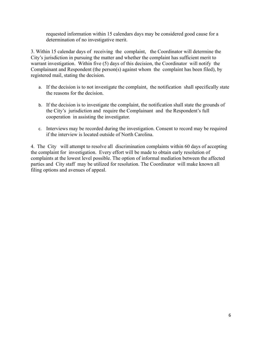requested information within 15 calendars days may be considered good cause for a determination of no investigative merit.

3. Within 15 calendar days of receiving the complaint, the Coordinator will determine the City's jurisdiction in pursuing the matter and whether the complaint has sufficient merit to warrant investigation. Within five (5) days of this decision, the Coordinator will notify the Complainant and Respondent (the person(s) against whom the complaint has been filed), by registered mail, stating the decision.

- a. If the decision is to not investigate the complaint, the notification shall specifically state the reasons for the decision.
- b. If the decision is to investigate the complaint, the notification shall state the grounds of the City's jurisdiction and require the Complainant and the Respondent's full cooperation in assisting the investigator.
- c. Interviews may be recorded during the investigation. Consent to record may be required if the interview is located outside of North Carolina.

4. The City will attempt to resolve all discrimination complaints within 60 days of accepting the complaint for investigation. Every effort will be made to obtain early resolution of complaints at the lowest level possible. The option of informal mediation between the affected parties and City staff may be utilized for resolution. The Coordinator will make known all filing options and avenues of appeal.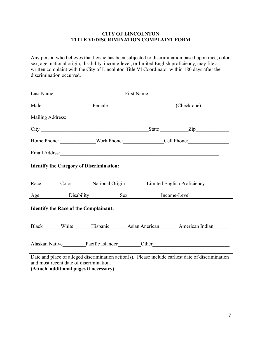#### **CITY OF LINCOLNTON TITLE VI/DISCRIMINATION COMPLAINT FORM**

Any person who believes that he/she has been subjected to discrimination based upon race, color, sex, age, national origin, disability, income-level, or limited English proficiency, may file a written complaint with the City of Lincolnton Title VI Coordinator within 180 days after the discrimination occurred.

| Mailing Address:                                                                                                                                                                        |  |  |                                                                                                     |  |
|-----------------------------------------------------------------------------------------------------------------------------------------------------------------------------------------|--|--|-----------------------------------------------------------------------------------------------------|--|
|                                                                                                                                                                                         |  |  |                                                                                                     |  |
|                                                                                                                                                                                         |  |  |                                                                                                     |  |
|                                                                                                                                                                                         |  |  |                                                                                                     |  |
| <b>Identify the Category of Discrimination:</b>                                                                                                                                         |  |  |                                                                                                     |  |
|                                                                                                                                                                                         |  |  |                                                                                                     |  |
|                                                                                                                                                                                         |  |  | Race_________ Color_________National Origin_________________Limited English Proficiency____________ |  |
|                                                                                                                                                                                         |  |  | Age Disability Sex Income-Level                                                                     |  |
| <b>Identify the Race of the Complainant:</b>                                                                                                                                            |  |  |                                                                                                     |  |
|                                                                                                                                                                                         |  |  |                                                                                                     |  |
|                                                                                                                                                                                         |  |  | Black______White______Hispanic______Asian Anerican________American Indian_______                    |  |
|                                                                                                                                                                                         |  |  |                                                                                                     |  |
| Alaskan Native Pacific Islander Other                                                                                                                                                   |  |  |                                                                                                     |  |
| Date and place of alleged discrimination action(s). Please include earliest date of discrimination<br>and most recent date of discrimination.<br>(Attach additional pages if necessary) |  |  |                                                                                                     |  |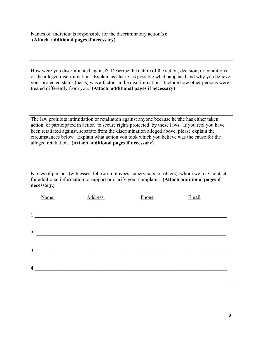Names of individuals responsible for the discriminatory action(s): **(Attach additional pages if necessary)**

How were you discriminated against? Describe the nature of the action, decision, or conditions of the alleged discrimination. Explain as clearly as possible what happened and why you believe your protected status (basis) was a factor in the discrimination. Include how other persons were treated differently from you. **(Attach additional pages if necessary)**

The law prohibits intimidation or retaliation against anyone because he/she has either taken action, or participated in action to secure rights protected by these laws. If you feel you have been retaliated against, separate from the discrimination alleged above, please explain the circumstances below. Explain what action you took which you believe was the cause for the alleged retaliation. **(Attach additional pages if necessary)**

Names of persons (witnesses, fellow employees, supervisors, or others) whom we may contact for additional information to support or clarify your complaint. **(Attach additional pages if necessary.)**

|    | Name                                                                                                                  | <b>Address</b> | Phone | Email |
|----|-----------------------------------------------------------------------------------------------------------------------|----------------|-------|-------|
|    |                                                                                                                       |                |       |       |
| 1. |                                                                                                                       |                |       |       |
| 2. | <u> 1989 - Johann Barbara, martin amerikan basal dan berasal dalam basal dalam basal dalam basal dalam basal dala</u> |                |       |       |
|    |                                                                                                                       |                |       |       |
| 3. |                                                                                                                       |                |       |       |
| 4. |                                                                                                                       |                |       |       |
|    |                                                                                                                       |                |       |       |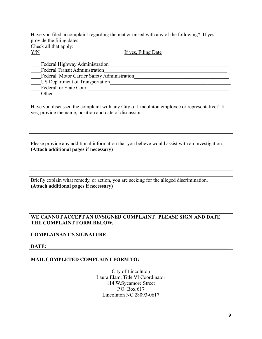| Have you filed a complaint regarding the matter raised with any of the following? If yes, |  |  |  |  |
|-------------------------------------------------------------------------------------------|--|--|--|--|
| provide the filing dates.                                                                 |  |  |  |  |
| Check all that apply:                                                                     |  |  |  |  |
| Y/N<br>If yes, Filing Date                                                                |  |  |  |  |
| Federal Highway Administration<br><b>Federal Transit Administration</b>                   |  |  |  |  |
| Federal Motor Carrier Safety Administration                                               |  |  |  |  |
| US Department of Transportation                                                           |  |  |  |  |
| Federal or State Court                                                                    |  |  |  |  |
| Other                                                                                     |  |  |  |  |

Have you discussed the complaint with any City of Lincolnton employee or representative? If yes, provide the name, position and date of discussion.

Please provide any additional information that you believe would assist with an investigation. **(Attach additional pages if necessary)**

Briefly explain what remedy, or action, you are seeking for the alleged discrimination. **(Attach additional pages if necessary)**

#### **WE CANNOT ACCEPT AN UNSIGNED COMPLAINT. PLEASE SIGN AND DATE THE COMPLAINT FORM BELOW.**

#### **COMPLAINANT'S SIGNATURE\_\_\_\_\_\_\_\_\_\_\_\_\_\_\_\_\_\_\_\_\_\_\_\_\_\_\_\_\_\_\_\_\_\_\_\_\_\_\_\_\_\_\_\_\_\_\_\_**

**DATE:\_\_\_\_\_\_\_\_\_\_\_\_\_\_\_\_\_\_\_\_\_\_\_\_\_\_\_\_\_\_\_\_\_\_\_\_\_\_\_\_\_\_\_\_\_\_\_\_\_\_\_\_\_\_\_\_\_\_\_\_\_\_\_\_\_\_\_\_\_\_\_**

#### **MAIL COMPLETED COMPLAINT FORM TO:**

City of Lincolnton Laura Elam, Title VI Coordinator 114 W.Sycamore Street P.O. Box 617 Lincolnton NC 28093-0617